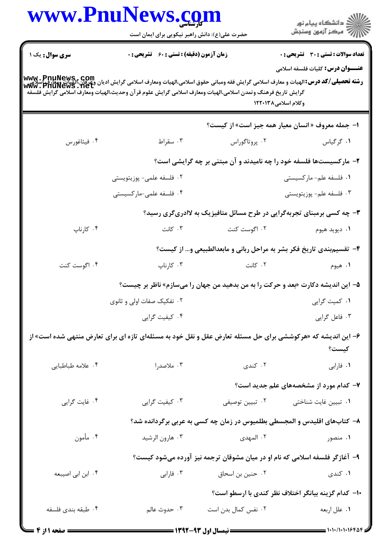| www.PnuNews.com    |                                                                                                                                                                                                                                                                                                 |                     |                                                                                 |  |
|--------------------|-------------------------------------------------------------------------------------------------------------------------------------------------------------------------------------------------------------------------------------------------------------------------------------------------|---------------------|---------------------------------------------------------------------------------|--|
|                    | حضرت علی(ع): دانش راهبر نیکویی برای ایمان است                                                                                                                                                                                                                                                   |                     | ڪ دانشڪاه پيام نور<br>/7 مرڪز آزمون وسنڊش                                       |  |
| سری سوال: یک ۱     | <b>زمان آزمون (دقیقه) : تستی : 60 ٪ تشریحی : 0</b>                                                                                                                                                                                                                                              |                     | <b>تعداد سوالات : تستی : 30 ٪ تشریحی : 0</b>                                    |  |
|                    |                                                                                                                                                                                                                                                                                                 |                     | <b>عنـــوان درس:</b> کلیات فلسفه اسلامی                                         |  |
|                    | www . PnuNews , com<br><b>رشته تحصیلی/کد درس:</b> الهیات و معارف اسلامی گرایش فقه ومبانی حقوق اسلامی،الهیات ومعارف اسلامی گرایش ادیان وعوایی،الهیات ومعارف<br>Www . PnuNews . net<br>گرايش تاريخ فرهنگ وتمدن اسلامي،الهيات ومعارف اسلامي گرايش علوم قرآن وحديث،الهيات ومعارف اسلامي گرايش فلسفه |                     |                                                                                 |  |
|                    |                                                                                                                                                                                                                                                                                                 |                     | وكلام اسلامى١٣٨-١٢٢                                                             |  |
|                    |                                                                                                                                                                                                                                                                                                 |                     | ا- جمله معروف « انسان معیار همه جیز است» از کیست؟                               |  |
| ۰۴ فیثاغورس        | ۰۳ سقراط                                                                                                                                                                                                                                                                                        | ۰۲ پروتاگوراس       | ٠١ گرگياس                                                                       |  |
|                    |                                                                                                                                                                                                                                                                                                 |                     | ۲- مارکسیستها فلسفه خود را چه نامیدند و آن مبتنی بر چه گرایشی است؟              |  |
|                    | ۰۲ فلسفه علمی- پوزیتویستی                                                                                                                                                                                                                                                                       |                     | ۰۱ فلسفه علم-ماركسيستى                                                          |  |
|                    | ۰۴ فلسفه علمی-مارکسیستی                                                                                                                                                                                                                                                                         |                     | ۰۳ فلسفه علم- پوزیتویستی                                                        |  |
|                    |                                                                                                                                                                                                                                                                                                 |                     | ۳- چه کسی برمبنای تجربهگرایی در طرح مسائل متافیزیک به لاادریگری رسید؟           |  |
| ۰۴ کارناپ          | ۰۳ کانت                                                                                                                                                                                                                                                                                         | ۰۲ اگوست کنت        | ۰۱ ديويد هيوم                                                                   |  |
|                    |                                                                                                                                                                                                                                                                                                 |                     | ۴- تقسیم بندی تاریخ فکر بشر به مراحل ربانی و مابعدالطبیعی و… از کیست؟           |  |
| ۰۴ اگوست کنت       | ۰۳ کارناپ                                                                                                                                                                                                                                                                                       | ۰۲ کانت             | ۰۱ هیوم                                                                         |  |
|                    |                                                                                                                                                                                                                                                                                                 |                     | ۵– این اندیشه دکارت «بعد و حرکت را به من بدهید من جهان را میسازم» ناظر بر چیست؟ |  |
|                    | ۰۲ تفکیک صفات اولی و ثانوی                                                                                                                                                                                                                                                                      |                     | ۰۱ کمیت گرایی                                                                   |  |
|                    | ۰۴ کیفیت گرایی                                                                                                                                                                                                                                                                                  |                     | ۰۳ فاعل گرايي                                                                   |  |
|                    | ۶– این اندیشه که «هرکوششی برای حل مسئله تعارض عقل و نقل خود به مسئلهای تازه ای برای تعارض منتهی شده است» از                                                                                                                                                                                     |                     |                                                                                 |  |
|                    |                                                                                                                                                                                                                                                                                                 |                     | كيست؟                                                                           |  |
| ۰۴ علامه طباطبايي  | ۰۳ ملاصدرا                                                                                                                                                                                                                                                                                      | ۰۲ کندی             | ۰۱ فارابی                                                                       |  |
|                    |                                                                                                                                                                                                                                                                                                 |                     | ۷- کدام مورد از مشخصههای علم جدید است؟                                          |  |
| ۰۴ غايت گرايي      | ۰۳ کیفیت گرایی                                                                                                                                                                                                                                                                                  | ۰۲ تبيين توصيفي     | ۰۱ تبیین غایت شناختی                                                            |  |
|                    |                                                                                                                                                                                                                                                                                                 |                     | ۸– کتابهای اقلیدس و المجسطی بطلمیوس در زمان چه کسی به عربی برگردانده شد؟        |  |
| ۰۴ مأمون           | ۰۳ هارون الرشيد                                                                                                                                                                                                                                                                                 | ۲. المهدی           | ۰۱ منصور                                                                        |  |
|                    |                                                                                                                                                                                                                                                                                                 |                     | ۹– آغازگر فلسفه اسلامی که نام او در میان مشوقان ترجمه نیز آورده میشود کیست؟     |  |
| ۰۴ ابن ابي اصيبعه  | ۰۳ فارابی                                                                                                                                                                                                                                                                                       | ۰۲ حنین بن اسحاق    | ۰۱ کندی                                                                         |  |
|                    |                                                                                                                                                                                                                                                                                                 |                     | ۱۰– کدام گزینه بیانگر اختلاف نظر کندی با ارسطو است؟                             |  |
| ۰۴ طبقه بندى فلسفه | ۰۳ حدوث عالم                                                                                                                                                                                                                                                                                    | ۰۲ نفس کمال بدن است | ١. علل اربعه                                                                    |  |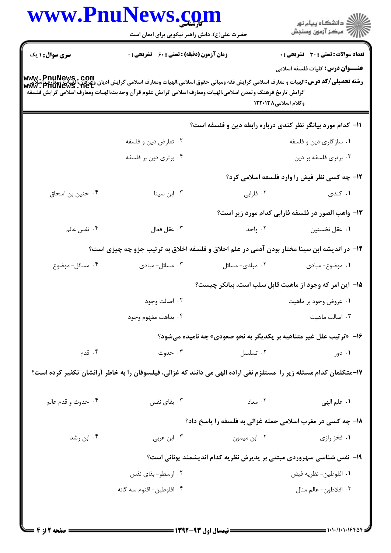|                        | www.PnuNews.com                                                                                                                                                            |                                                                     | ڪ دانشڪاه پيا <sub>م</sub> نور<br>∕7 مرڪز آزمون وسنڊش |  |
|------------------------|----------------------------------------------------------------------------------------------------------------------------------------------------------------------------|---------------------------------------------------------------------|-------------------------------------------------------|--|
|                        | حضرت علی(ع): دانش راهبر نیکویی برای ایمان است                                                                                                                              |                                                                     |                                                       |  |
| <b>سری سوال : ۱ یک</b> | زمان آزمون (دقیقه) : تستی : 60 ٪ تشریحی : 0                                                                                                                                |                                                                     | <b>تعداد سوالات : تستی : 30 ٪ تشریحی : 0</b>          |  |
|                        | WWW . PnuNews,. COm<br>  <b>رشته تحصیلی/کد درس:</b> الهیات و معارف اسلامی گرایش فقه ومبانی حقوق اسلامی،الهیات ومعارف اسلامی گرایش وی وی این اسلام<br>  WWw . PnuNews . Net |                                                                     | <b>عنــــوان درس:</b> کلیات فلسفه اسلامی              |  |
|                        | گرايش تاريخ فرهنگ وتمدن اسلامى،الهيات ومعارف اسلامى گرايش علوم قرآن وحديث،الهيات ومعارف اسلامى گرايش فلسفه                                                                 |                                                                     |                                                       |  |
|                        |                                                                                                                                                                            | وكلام اسلامى١٣٨-١٢٢                                                 |                                                       |  |
|                        |                                                                                                                                                                            | 11- کدام مورد بیانگر نظر کندی درباره رابطه دین و فلسفه است؟         |                                                       |  |
|                        | ۰۲ تعارض دين و فلسفه                                                                                                                                                       |                                                                     | ۰۱ سازگاری دین و فلسفه                                |  |
|                        | ۰۴ برتري دين بر فلسفه                                                                                                                                                      |                                                                     | ۰۳ برتری فلسفه بر دین                                 |  |
|                        |                                                                                                                                                                            |                                                                     | ۱۲– چه کسی نظر فیض را وارد فلسفه اسلامی کرد؟          |  |
| ۰۴ حنین بن اسحاق       | ۰۳ ابن سینا                                                                                                                                                                | ۰۲ فارابی                                                           | ۰۱ کندی                                               |  |
|                        |                                                                                                                                                                            |                                                                     | ۱۳- واهب الصور در فلسفه فارابی کدام مورد زیر است؟     |  |
| ۰۴ نفس عالم            | ٠٣ عقل فعال                                                                                                                                                                | ۰۲ واحد                                                             | ۰۱ عقل نخستین                                         |  |
|                        | ۱۴– در اندیشه ابن سینا مختار بودن آدمی در علم اخلاق و فلسفه اخلاق به ترتیب جزو چه چیزی است؟                                                                                |                                                                     |                                                       |  |
| ۰۴ مسائل- موضوع        | ۰۳ مسائل- مبادی                                                                                                                                                            | ۰۲ مبادی- مسائل                                                     | ٠١. موضوع-مبادى                                       |  |
|                        | 1۵– این امر که وجود از ماهیت قابل سلب است، بیانکر چیست؟                                                                                                                    |                                                                     |                                                       |  |
|                        | ۰۲ اصالت وجود                                                                                                                                                              |                                                                     | ۰۱ عروض وجود بر ماهيت                                 |  |
|                        | ۰۴ بداهت مفهوم وجود                                                                                                                                                        |                                                                     | ۰۳ اصالت ماهيت                                        |  |
|                        |                                                                                                                                                                            | ۱۶- «ترتیب علل غیر متناهیه بر یکدیگر به نحو صعودی» چه نامیده میشود؟ |                                                       |  |
| ۰۴ قدم                 | ۰۳ حدوث                                                                                                                                                                    | ٠٢ تسلسل                                                            | ۰۱ دور                                                |  |
|                        | ۱۷-متکلمان کدام مسئله زیر را  مستلزم نفی اراده الهی می دانند که غزالی، فیلسوفان را به خاطر آرائشان تکفیر کرده است؟                                                         |                                                                     |                                                       |  |
|                        |                                                                                                                                                                            |                                                                     |                                                       |  |
| ۰۴ حدوث و قدم عالم     | ۰۳ بقای نفس                                                                                                                                                                | ۰۲ معاد                                                             | ١. علم الهي                                           |  |
|                        |                                                                                                                                                                            | ۱۸- چه کسی در مغرب اسلامی حمله غزالی به فلسفه را پاسخ داد؟          |                                                       |  |
| ۰۴ ابن رشد             | ۰۳ ابن عربی                                                                                                                                                                | ۰۲ ابن میمون                                                        | ۱. فخز رازی                                           |  |
|                        | ۱۹- نفس شناسی سهروردی مبتنی بر پذیرش نظریه کدام اندیشمند یونانی است؟                                                                                                       |                                                                     |                                                       |  |
|                        | ۰۲ ارسطو- بقای نفس                                                                                                                                                         |                                                                     | ٠١. افلوطين- نظريه فيض                                |  |
|                        | ۰۴ افلوطين- اقنوم سه گانه                                                                                                                                                  |                                                                     | ۰۳ افلاطون- عالم مثال                                 |  |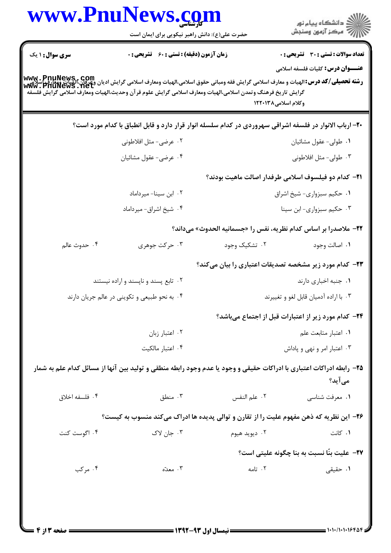|                                                                                                                                                                          | www.PnuNews.com<br>حضرت علی(ع): دانش راهبر نیکویی برای ایمان است                                                     |                     | ڪ دانشڪاه پيام نور<br><mark>ر</mark> ⊽ مرڪز آزمون وسنڊش                                 |
|--------------------------------------------------------------------------------------------------------------------------------------------------------------------------|----------------------------------------------------------------------------------------------------------------------|---------------------|-----------------------------------------------------------------------------------------|
| <b>سری سوال : ۱ یک</b>                                                                                                                                                   | <b>زمان آزمون (دقیقه) : تستی : 60 ٪ تشریحی : 0</b>                                                                   |                     | <b>تعداد سوالات : تستی : 30 - تشریحی : 0</b><br><b>عنـــوان درس:</b> کلیات فلسفه اسلامی |
| www . PnuNews , Com<br>  <b>رشته تحصیلی/کد درس:</b> الهیات و معارف اسلامی گرایش فقه ومبانی حقوق اسلامی،الهیات ومعارف اسلامی گرایش ادیان وعمل ای<br>  www . PnuNewS . Net | گرايش تاريخ فرهنگ وتمدن اسلامي،الهيات ومعارف اسلامي گرايش علوم قرآن وحديث،الهيات ومعارف اسلامي گرايش فلسفه           | وكلام اسلامى١٣٨-١٢٢ |                                                                                         |
|                                                                                                                                                                          | ۲۰- ارباب الانوار در فلسفه اشراقی سهروردی در کدام سلسله انوار قرار دارد و قابل انطباق با کدام مورد است؟              |                     |                                                                                         |
|                                                                                                                                                                          | ۰۲ عرضي- مثل افلاطوني                                                                                                |                     | ٠١ طولى- عقول مشائيان                                                                   |
|                                                                                                                                                                          | ۰۴ عرضي- عقول مشائيان                                                                                                |                     | ۰۳ طولی- مثل افلاطونی                                                                   |
|                                                                                                                                                                          |                                                                                                                      |                     | <b>۲۱</b> – کدام دو فیلسوف اسلامی طرفدار اصالت ماهیت بودند؟                             |
|                                                                                                                                                                          | ٠٢ ابن سينا- ميرداماد                                                                                                |                     | ٠١ حكيم سبزواري- شيخ اشراق                                                              |
|                                                                                                                                                                          | ۰۴ شیخ اشراق- میرداماد                                                                                               |                     | ۰۳ حکیم سبزواری- ابن سینا                                                               |
|                                                                                                                                                                          |                                                                                                                      |                     | 22- ملاصدرا بر اساس كدام نظريه، نفس را «جسمانيه الحدوث» ميداند؟                         |
| ۰۴ حدوث عالم                                                                                                                                                             | ۰۳ حرکت جوهری                                                                                                        | ۰۲ تشکیک وجود       | ۰۱ اصالت وجود                                                                           |
|                                                                                                                                                                          |                                                                                                                      |                     | <b>۲۳</b> - کدام مورد زیر مشخصه تصدیقات اعتباری را بیان میکند؟                          |
|                                                                                                                                                                          | ۰۲ تابع پسند و ناپسند و اراده نیستند                                                                                 |                     | ٠١. جنبه اخباري دارند                                                                   |
|                                                                                                                                                                          | ۰۴ به نحو طبیعی و تکوینی در عالم جریان دارند                                                                         |                     | ۰۳ با اراده آدمیان قابل لغو و تغییرند                                                   |
|                                                                                                                                                                          |                                                                                                                      |                     | <b>۲۴</b> - کدام مورد زیر از اعتبارات قبل از اجتماع میباشد؟                             |
|                                                                                                                                                                          | ٠٢ اعتبار زبان                                                                                                       |                     | ۰۱ اعتبار متابعت علم                                                                    |
|                                                                                                                                                                          | ۰۴ اعتبار مالکیت                                                                                                     |                     | ۰۳ اعتبار امر و نهی و پاداش                                                             |
|                                                                                                                                                                          | ۲۵- رابطه ادراکات اعتباری با ادراکات حقیقی و وجود یا عدم وجود رابطه منطقی و تولید بین آنها از مسائل کدام علم به شمار |                     | می آید؟                                                                                 |
| ۰۴ فلسفه اخلاق                                                                                                                                                           | ۰۳ منطق                                                                                                              | ٠٢ علم النفس        | ۰۱ معرفت شناسی                                                                          |
|                                                                                                                                                                          | ۲۶- این نظریه که ذهن مفهوم علیت را از تقارن و توالی پدیده ها ادراک میکند منسوب به کیست؟                              |                     |                                                                                         |
| ۰۴ اگوست کنت                                                                                                                                                             | ۰۳ جان لاک                                                                                                           | ۰۲ دیوید هیوم       | ۰۱ کانت                                                                                 |
|                                                                                                                                                                          |                                                                                                                      |                     | ٢٧- عليت بنَّا نسبت به بنا چگونه عليتي است؟                                             |
| ۰۴ مرکب                                                                                                                                                                  | ۰۳ معدّه                                                                                                             | ۰۲ تامه             | ۰۱ حقیقی                                                                                |
|                                                                                                                                                                          |                                                                                                                      |                     | 1010/10101648                                                                           |